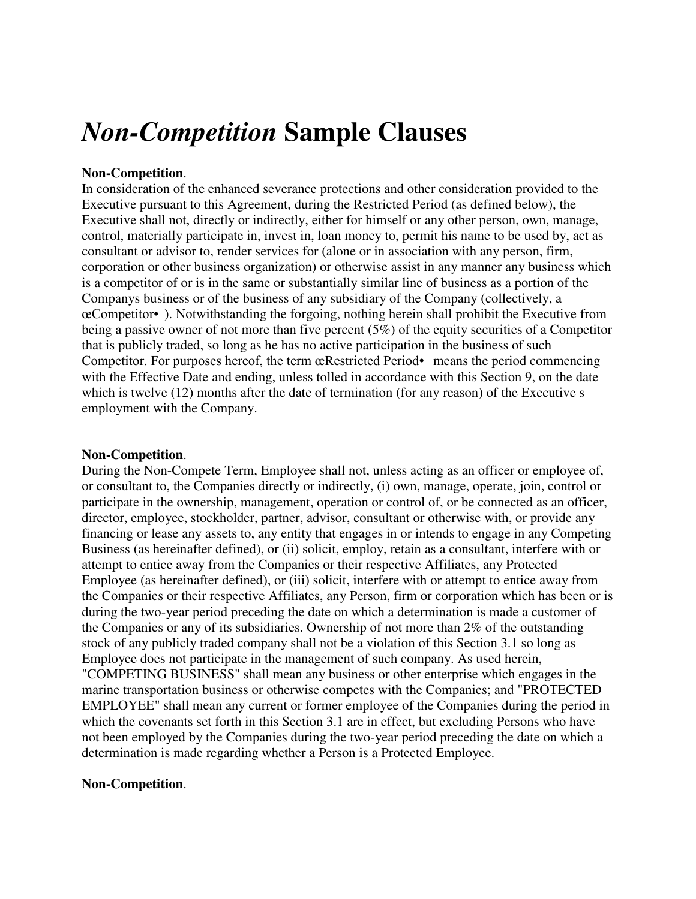# *Non-Competition* **Sample Clauses**

### **Non-Competition**.

In consideration of the enhanced severance protections and other consideration provided to the Executive pursuant to this Agreement, during the Restricted Period (as defined below), the Executive shall not, directly or indirectly, either for himself or any other person, own, manage, control, materially participate in, invest in, loan money to, permit his name to be used by, act as consultant or advisor to, render services for (alone or in association with any person, firm, corporation or other business organization) or otherwise assist in any manner any business which is a competitor of or is in the same or substantially similar line of business as a portion of the Companys business or of the business of any subsidiary of the Company (collectively, a œCompetitor• ). Notwithstanding the forgoing, nothing herein shall prohibit the Executive from being a passive owner of not more than five percent (5%) of the equity securities of a Competitor that is publicly traded, so long as he has no active participation in the business of such Competitor. For purposes hereof, the term œRestricted Period• means the period commencing with the Effective Date and ending, unless tolled in accordance with this Section 9, on the date which is twelve (12) months after the date of termination (for any reason) of the Executive s employment with the Company.

#### **Non-Competition**.

During the Non-Compete Term, Employee shall not, unless acting as an officer or employee of, or consultant to, the Companies directly or indirectly, (i) own, manage, operate, join, control or participate in the ownership, management, operation or control of, or be connected as an officer, director, employee, stockholder, partner, advisor, consultant or otherwise with, or provide any financing or lease any assets to, any entity that engages in or intends to engage in any Competing Business (as hereinafter defined), or (ii) solicit, employ, retain as a consultant, interfere with or attempt to entice away from the Companies or their respective Affiliates, any Protected Employee (as hereinafter defined), or (iii) solicit, interfere with or attempt to entice away from the Companies or their respective Affiliates, any Person, firm or corporation which has been or is during the two-year period preceding the date on which a determination is made a customer of the Companies or any of its subsidiaries. Ownership of not more than 2% of the outstanding stock of any publicly traded company shall not be a violation of this Section 3.1 so long as Employee does not participate in the management of such company. As used herein, "COMPETING BUSINESS" shall mean any business or other enterprise which engages in the marine transportation business or otherwise competes with the Companies; and "PROTECTED EMPLOYEE" shall mean any current or former employee of the Companies during the period in which the covenants set forth in this Section 3.1 are in effect, but excluding Persons who have not been employed by the Companies during the two-year period preceding the date on which a determination is made regarding whether a Person is a Protected Employee.

## **Non-Competition**.